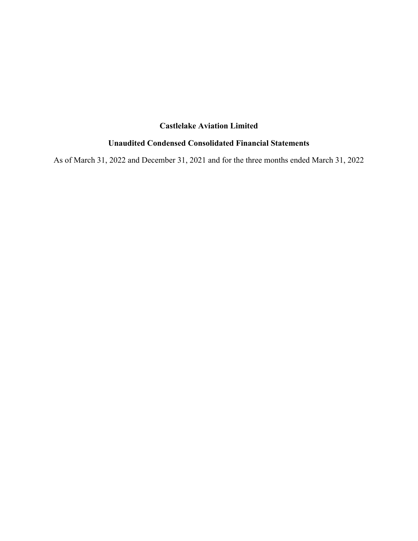### **Castlelake Aviation Limited**

### **Unaudited Condensed Consolidated Financial Statements**

As of March 31, 2022 and December 31, 2021 and for the three months ended March 31, 2022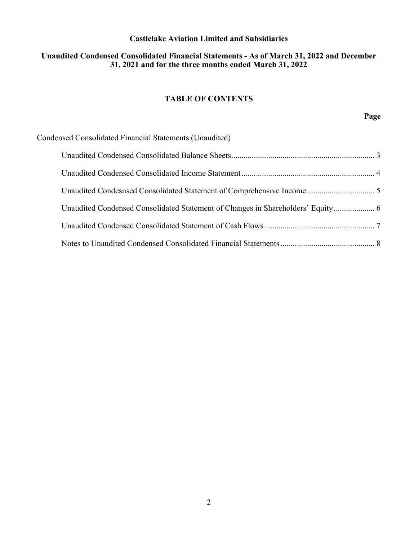### **Castlelake Aviation Limited and Subsidiaries**

### **Unaudited Condensed Consolidated Financial Statements - As of March 31, 2022 and December 31, 2021 and for the three months ended March 31, 2022**

### **TABLE OF CONTENTS**

**Page** 

| Condensed Consolidated Financial Statements (Unaudited)                         |  |
|---------------------------------------------------------------------------------|--|
|                                                                                 |  |
|                                                                                 |  |
|                                                                                 |  |
| Unaudited Condensed Consolidated Statement of Changes in Shareholders' Equity 6 |  |
|                                                                                 |  |
|                                                                                 |  |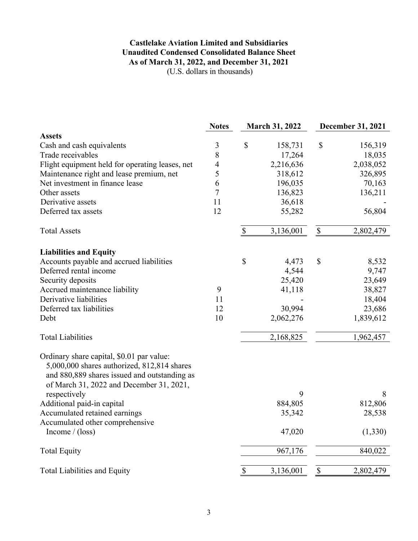### **Castlelake Aviation Limited and Subsidiaries Unaudited Condensed Consolidated Balance Sheet As of March 31, 2022, and December 31, 2021** (U.S. dollars in thousands)

|                                                                                                                                                                                      | <b>Notes</b>   |             | <b>March 31, 2022</b> |             | <b>December 31, 2021</b> |
|--------------------------------------------------------------------------------------------------------------------------------------------------------------------------------------|----------------|-------------|-----------------------|-------------|--------------------------|
| <b>Assets</b>                                                                                                                                                                        |                |             |                       |             |                          |
| Cash and cash equivalents                                                                                                                                                            | $\mathfrak{Z}$ | \$          | 158,731               | $\mathbb S$ | 156,319                  |
| Trade receivables                                                                                                                                                                    | $\,8\,$        |             | 17,264                |             | 18,035                   |
| Flight equipment held for operating leases, net                                                                                                                                      | $\overline{4}$ |             | 2,216,636             |             | 2,038,052                |
| Maintenance right and lease premium, net                                                                                                                                             | 5              |             | 318,612               |             | 326,895                  |
| Net investment in finance lease                                                                                                                                                      | 6              |             | 196,035               |             | 70,163                   |
| Other assets                                                                                                                                                                         | $\overline{7}$ |             | 136,823               |             | 136,211                  |
| Derivative assets                                                                                                                                                                    | 11             |             | 36,618                |             |                          |
| Deferred tax assets                                                                                                                                                                  | 12             |             | 55,282                |             | 56,804                   |
| <b>Total Assets</b>                                                                                                                                                                  |                | $\mathbb S$ | 3,136,001             | $\$$        | 2,802,479                |
| <b>Liabilities and Equity</b>                                                                                                                                                        |                |             |                       |             |                          |
| Accounts payable and accrued liabilities                                                                                                                                             |                | \$          | 4,473                 | \$          | 8,532                    |
| Deferred rental income                                                                                                                                                               |                |             | 4,544                 |             | 9,747                    |
| Security deposits                                                                                                                                                                    |                |             | 25,420                |             | 23,649                   |
| Accrued maintenance liability                                                                                                                                                        | 9              |             | 41,118                |             | 38,827                   |
| Derivative liabilities                                                                                                                                                               | 11             |             |                       |             | 18,404                   |
| Deferred tax liabilities                                                                                                                                                             | 12             |             | 30,994                |             | 23,686                   |
| Debt                                                                                                                                                                                 | 10             |             | 2,062,276             |             | 1,839,612                |
| <b>Total Liabilities</b>                                                                                                                                                             |                |             | 2,168,825             |             | 1,962,457                |
| Ordinary share capital, \$0.01 par value:<br>5,000,000 shares authorized, 812,814 shares<br>and 880,889 shares issued and outstanding as<br>of March 31, 2022 and December 31, 2021, |                |             |                       |             |                          |
| respectively                                                                                                                                                                         |                |             | 9                     |             | 8                        |
| Additional paid-in capital                                                                                                                                                           |                |             | 884,805               |             | 812,806                  |
| Accumulated retained earnings                                                                                                                                                        |                |             | 35,342                |             | 28,538                   |
| Accumulated other comprehensive                                                                                                                                                      |                |             |                       |             |                          |
| Income $/$ (loss)                                                                                                                                                                    |                |             | 47,020                |             | (1, 330)                 |
| <b>Total Equity</b>                                                                                                                                                                  |                |             | 967,176               |             | 840,022                  |
| <b>Total Liabilities and Equity</b>                                                                                                                                                  |                | \$          | 3,136,001             | \$          | 2,802,479                |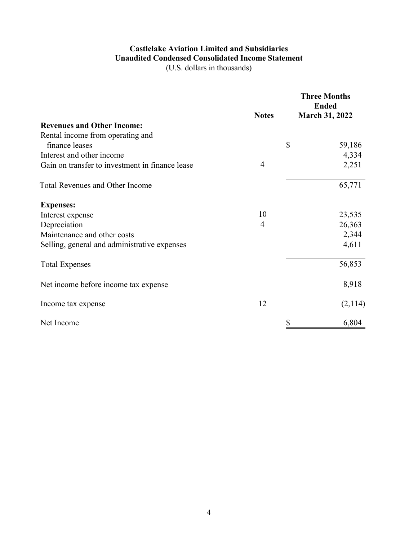# **Castlelake Aviation Limited and Subsidiaries Unaudited Condensed Consolidated Income Statement**

(U.S. dollars in thousands)

|                                                 | <b>Notes</b> | <b>Three Months</b><br><b>Ended</b><br><b>March 31, 2022</b> |
|-------------------------------------------------|--------------|--------------------------------------------------------------|
| <b>Revenues and Other Income:</b>               |              |                                                              |
| Rental income from operating and                |              |                                                              |
| finance leases                                  |              | \$<br>59,186                                                 |
| Interest and other income                       |              | 4,334                                                        |
| Gain on transfer to investment in finance lease | 4            | 2,251                                                        |
| <b>Total Revenues and Other Income</b>          |              | 65,771                                                       |
| <b>Expenses:</b>                                |              |                                                              |
| Interest expense                                | 10           | 23,535                                                       |
| Depreciation                                    | 4            | 26,363                                                       |
| Maintenance and other costs                     |              | 2,344                                                        |
| Selling, general and administrative expenses    |              | 4,611                                                        |
| <b>Total Expenses</b>                           |              | 56,853                                                       |
| Net income before income tax expense            |              | 8,918                                                        |
| Income tax expense                              | 12           | (2,114)                                                      |
| Net Income                                      |              | \$<br>6,804                                                  |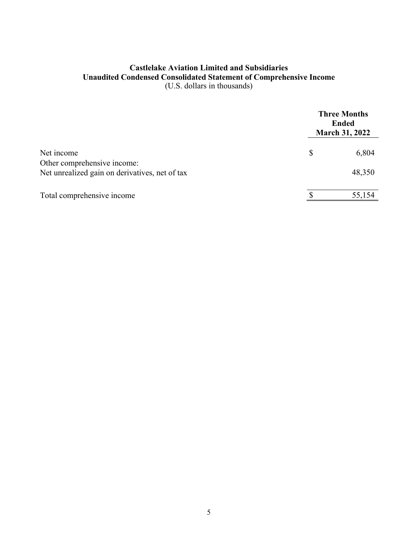### **Castlelake Aviation Limited and Subsidiaries Unaudited Condensed Consolidated Statement of Comprehensive Income**  (U.S. dollars in thousands)

|                                                |   | <b>Three Months</b><br><b>Ended</b><br><b>March 31, 2022</b> |
|------------------------------------------------|---|--------------------------------------------------------------|
| Net income<br>Other comprehensive income:      | S | 6,804                                                        |
| Net unrealized gain on derivatives, net of tax |   | 48,350                                                       |
| Total comprehensive income                     |   | 55,154                                                       |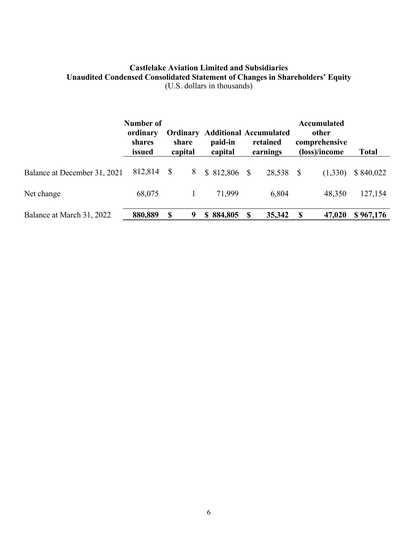### **Castlelake Aviation Limited and Subsidiaries Unaudited Condensed Consolidated Statement of Changes in Shareholders' Equity**  (U.S. dollars in thousands)

|                              | Number of<br>ordinary<br>shares<br>issued |               | share<br>capital | <b>Ordinary Additional Accumulated</b><br>paid-in<br>capital |              | retained<br>earnings |   | <b>Accumulated</b><br>other<br>comprehensive<br>(loss)/income | Total     |
|------------------------------|-------------------------------------------|---------------|------------------|--------------------------------------------------------------|--------------|----------------------|---|---------------------------------------------------------------|-----------|
| Balance at December 31, 2021 | 812,814                                   | -S            | 8                | \$ 812,806                                                   | <sup>S</sup> | 28,538 \$            |   | (1,330)                                                       | \$840,022 |
| Net change                   | 68,075                                    |               |                  | 71,999                                                       |              | 6,804                |   | 48,350                                                        | 127,154   |
| Balance at March 31, 2022    | 880,889                                   | <sup>\$</sup> | 9                | 884,805<br>S.                                                | <sup>S</sup> | 35,342               | S | 47,020                                                        | \$967,176 |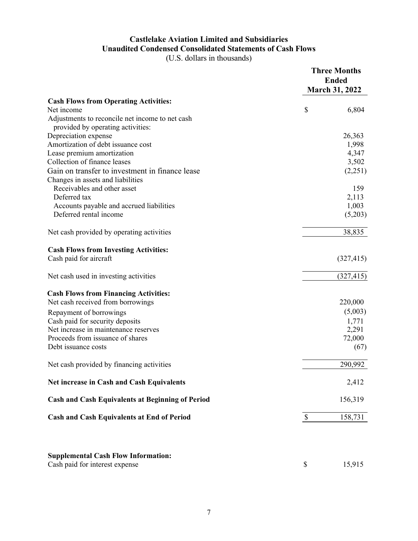## **Castlelake Aviation Limited and Subsidiaries Unaudited Condensed Consolidated Statements of Cash Flows**

(U.S. dollars in thousands)

|                                                                              | <b>Three Months</b><br><b>Ended</b><br><b>March 31, 2022</b> |            |
|------------------------------------------------------------------------------|--------------------------------------------------------------|------------|
| <b>Cash Flows from Operating Activities:</b>                                 |                                                              |            |
| Net income                                                                   | \$                                                           | 6,804      |
| Adjustments to reconcile net income to net cash                              |                                                              |            |
| provided by operating activities:                                            |                                                              |            |
| Depreciation expense                                                         |                                                              | 26,363     |
| Amortization of debt issuance cost                                           |                                                              | 1,998      |
| Lease premium amortization                                                   |                                                              | 4,347      |
| Collection of finance leases                                                 |                                                              | 3,502      |
| Gain on transfer to investment in finance lease                              |                                                              | (2,251)    |
| Changes in assets and liabilities                                            |                                                              |            |
| Receivables and other asset                                                  |                                                              | 159        |
| Deferred tax                                                                 |                                                              | 2,113      |
| Accounts payable and accrued liabilities                                     |                                                              | 1,003      |
| Deferred rental income                                                       |                                                              | (5,203)    |
| Net cash provided by operating activities                                    |                                                              | 38,835     |
| <b>Cash Flows from Investing Activities:</b>                                 |                                                              |            |
| Cash paid for aircraft                                                       |                                                              | (327, 415) |
| Net cash used in investing activities                                        |                                                              | (327, 415) |
| <b>Cash Flows from Financing Activities:</b>                                 |                                                              |            |
| Net cash received from borrowings                                            |                                                              | 220,000    |
| Repayment of borrowings                                                      |                                                              | (5,003)    |
| Cash paid for security deposits                                              |                                                              | 1,771      |
| Net increase in maintenance reserves                                         |                                                              | 2,291      |
| Proceeds from issuance of shares                                             |                                                              | 72,000     |
| Debt issuance costs                                                          |                                                              | (67)       |
| Net cash provided by financing activities                                    |                                                              | 290,992    |
| Net increase in Cash and Cash Equivalents                                    |                                                              | 2,412      |
| <b>Cash and Cash Equivalents at Beginning of Period</b>                      |                                                              | 156,319    |
| <b>Cash and Cash Equivalents at End of Period</b>                            | \$                                                           | 158,731    |
|                                                                              |                                                              |            |
| <b>Supplemental Cash Flow Information:</b><br>Cash paid for interest expense | \$                                                           | 15,915     |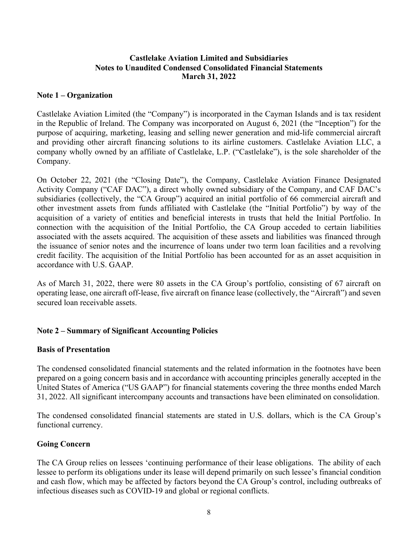### **Castlelake Aviation Limited and Subsidiaries Notes to Unaudited Condensed Consolidated Financial Statements March 31, 2022**

#### **Note 1 – Organization**

Castlelake Aviation Limited (the "Company") is incorporated in the Cayman Islands and is tax resident in the Republic of Ireland. The Company was incorporated on August 6, 2021 (the "Inception") for the purpose of acquiring, marketing, leasing and selling newer generation and mid-life commercial aircraft and providing other aircraft financing solutions to its airline customers. Castlelake Aviation LLC, a company wholly owned by an affiliate of Castlelake, L.P. ("Castlelake"), is the sole shareholder of the Company.

On October 22, 2021 (the "Closing Date"), the Company, Castlelake Aviation Finance Designated Activity Company ("CAF DAC"), a direct wholly owned subsidiary of the Company, and CAF DAC's subsidiaries (collectively, the "CA Group") acquired an initial portfolio of 66 commercial aircraft and other investment assets from funds affiliated with Castlelake (the "Initial Portfolio") by way of the acquisition of a variety of entities and beneficial interests in trusts that held the Initial Portfolio. In connection with the acquisition of the Initial Portfolio, the CA Group acceded to certain liabilities associated with the assets acquired. The acquisition of these assets and liabilities was financed through the issuance of senior notes and the incurrence of loans under two term loan facilities and a revolving credit facility. The acquisition of the Initial Portfolio has been accounted for as an asset acquisition in accordance with U.S. GAAP.

As of March 31, 2022, there were 80 assets in the CA Group's portfolio, consisting of 67 aircraft on operating lease, one aircraft off-lease, five aircraft on finance lease (collectively, the "Aircraft") and seven secured loan receivable assets.

### **Note 2 – Summary of Significant Accounting Policies**

### **Basis of Presentation**

The condensed consolidated financial statements and the related information in the footnotes have been prepared on a going concern basis and in accordance with accounting principles generally accepted in the United States of America ("US GAAP") for financial statements covering the three months ended March 31, 2022. All significant intercompany accounts and transactions have been eliminated on consolidation.

The condensed consolidated financial statements are stated in U.S. dollars, which is the CA Group's functional currency.

### **Going Concern**

The CA Group relies on lessees 'continuing performance of their lease obligations. The ability of each lessee to perform its obligations under its lease will depend primarily on such lessee's financial condition and cash flow, which may be affected by factors beyond the CA Group's control, including outbreaks of infectious diseases such as COVID-19 and global or regional conflicts.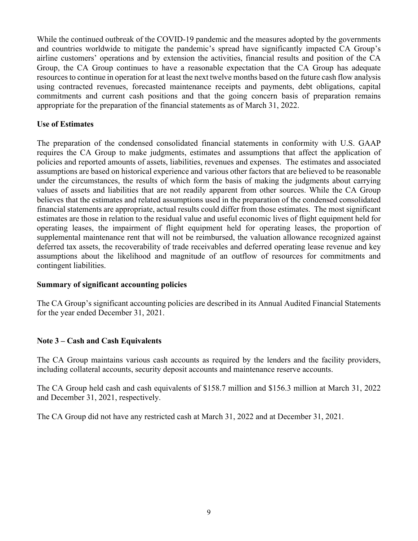While the continued outbreak of the COVID-19 pandemic and the measures adopted by the governments and countries worldwide to mitigate the pandemic's spread have significantly impacted CA Group's airline customers' operations and by extension the activities, financial results and position of the CA Group, the CA Group continues to have a reasonable expectation that the CA Group has adequate resources to continue in operation for at least the next twelve months based on the future cash flow analysis using contracted revenues, forecasted maintenance receipts and payments, debt obligations, capital commitments and current cash positions and that the going concern basis of preparation remains appropriate for the preparation of the financial statements as of March 31, 2022.

### **Use of Estimates**

The preparation of the condensed consolidated financial statements in conformity with U.S. GAAP requires the CA Group to make judgments, estimates and assumptions that affect the application of policies and reported amounts of assets, liabilities, revenues and expenses. The estimates and associated assumptions are based on historical experience and various other factors that are believed to be reasonable under the circumstances, the results of which form the basis of making the judgments about carrying values of assets and liabilities that are not readily apparent from other sources. While the CA Group believes that the estimates and related assumptions used in the preparation of the condensed consolidated financial statements are appropriate, actual results could differ from those estimates. The most significant estimates are those in relation to the residual value and useful economic lives of flight equipment held for operating leases, the impairment of flight equipment held for operating leases, the proportion of supplemental maintenance rent that will not be reimbursed, the valuation allowance recognized against deferred tax assets, the recoverability of trade receivables and deferred operating lease revenue and key assumptions about the likelihood and magnitude of an outflow of resources for commitments and contingent liabilities.

### **Summary of significant accounting policies**

The CA Group's significant accounting policies are described in its Annual Audited Financial Statements for the year ended December 31, 2021.

### **Note 3 – Cash and Cash Equivalents**

The CA Group maintains various cash accounts as required by the lenders and the facility providers, including collateral accounts, security deposit accounts and maintenance reserve accounts.

The CA Group held cash and cash equivalents of \$158.7 million and \$156.3 million at March 31, 2022 and December 31, 2021, respectively.

The CA Group did not have any restricted cash at March 31, 2022 and at December 31, 2021.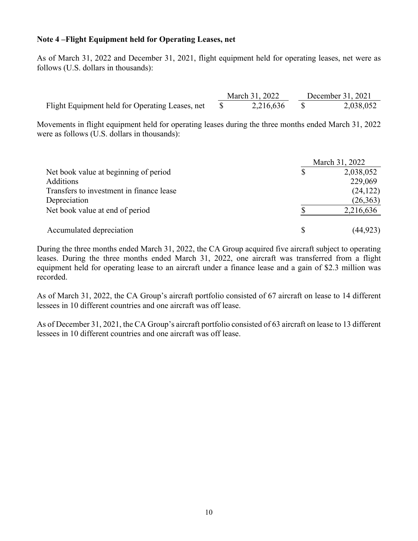### **Note 4 –Flight Equipment held for Operating Leases, net**

As of March 31, 2022 and December 31, 2021, flight equipment held for operating leases, net were as follows (U.S. dollars in thousands):

|                                                 | March 31, 2022 | December 31, 2021 |
|-------------------------------------------------|----------------|-------------------|
| Flight Equipment held for Operating Leases, net | 2,216,636      | 2,038,052         |

Movements in flight equipment held for operating leases during the three months ended March 31, 2022 were as follows (U.S. dollars in thousands):

|                                          | March 31, 2022 |
|------------------------------------------|----------------|
| Net book value at beginning of period    | 2,038,052      |
| <b>Additions</b>                         | 229,069        |
| Transfers to investment in finance lease | (24, 122)      |
| Depreciation                             | (26, 363)      |
| Net book value at end of period          | 2,216,636      |
| Accumulated depreciation                 | (44, 923)      |

During the three months ended March 31, 2022, the CA Group acquired five aircraft subject to operating leases. During the three months ended March 31, 2022, one aircraft was transferred from a flight equipment held for operating lease to an aircraft under a finance lease and a gain of \$2.3 million was recorded.

As of March 31, 2022, the CA Group's aircraft portfolio consisted of 67 aircraft on lease to 14 different lessees in 10 different countries and one aircraft was off lease.

As of December 31, 2021, the CA Group's aircraft portfolio consisted of 63 aircraft on lease to 13 different lessees in 10 different countries and one aircraft was off lease.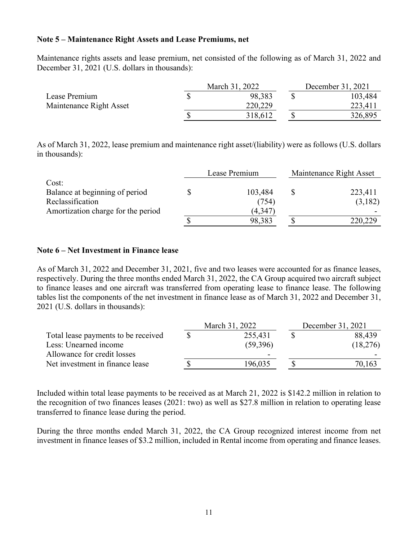#### **Note 5 – Maintenance Right Assets and Lease Premiums, net**

Maintenance rights assets and lease premium, net consisted of the following as of March 31, 2022 and December 31, 2021 (U.S. dollars in thousands):

|                         | March 31, 2022 | December 31, 2021 |         |  |
|-------------------------|----------------|-------------------|---------|--|
| Lease Premium           | 98,383         |                   | 103,484 |  |
| Maintenance Right Asset | 220,229        |                   | 223,411 |  |
|                         | 318,612        |                   | 326,895 |  |

As of March 31, 2022, lease premium and maintenance right asset/(liability) were as follows (U.S. dollars in thousands):

|                                    | Lease Premium | Maintenance Right Asset |
|------------------------------------|---------------|-------------------------|
| Cost:                              |               |                         |
| Balance at beginning of period     | 103,484       | 223,411                 |
| Reclassification                   | (754)         | (3,182)                 |
| Amortization charge for the period | (4,347        |                         |
|                                    | 98,383        | 220,229                 |

#### **Note 6 – Net Investment in Finance lease**

As of March 31, 2022 and December 31, 2021, five and two leases were accounted for as finance leases, respectively. During the three months ended March 31, 2022, the CA Group acquired two aircraft subject to finance leases and one aircraft was transferred from operating lease to finance lease. The following tables list the components of the net investment in finance lease as of March 31, 2022 and December 31, 2021 (U.S. dollars in thousands):

|                                     | March 31, 2022 | December 31, 2021 |          |  |
|-------------------------------------|----------------|-------------------|----------|--|
| Total lease payments to be received | 255,431        |                   | 88,439   |  |
| Less: Unearned income               | (59,396)       |                   | (18,276) |  |
| Allowance for credit losses         |                |                   |          |  |
| Net investment in finance lease     | 196,035        |                   | 70,163   |  |

Included within total lease payments to be received as at March 21, 2022 is \$142.2 million in relation to the recognition of two finances leases (2021: two) as well as \$27.8 million in relation to operating lease transferred to finance lease during the period.

During the three months ended March 31, 2022, the CA Group recognized interest income from net investment in finance leases of \$3.2 million, included in Rental income from operating and finance leases.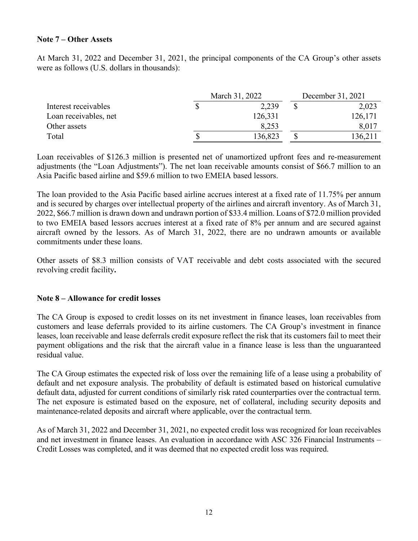### **Note 7 – Other Assets**

At March 31, 2022 and December 31, 2021, the principal components of the CA Group's other assets were as follows (U.S. dollars in thousands):

|                       | March 31, 2022 | December 31, 2021 |  |         |
|-----------------------|----------------|-------------------|--|---------|
| Interest receivables  |                | 2,239             |  | 2,023   |
| Loan receivables, net |                | 126,331           |  | 126,171 |
| Other assets          |                | 8,253             |  | 8,017   |
| Total                 |                | 136,823           |  | !36,211 |

Loan receivables of \$126.3 million is presented net of unamortized upfront fees and re-measurement adjustments (the "Loan Adjustments"). The net loan receivable amounts consist of \$66.7 million to an Asia Pacific based airline and \$59.6 million to two EMEIA based lessors.

The loan provided to the Asia Pacific based airline accrues interest at a fixed rate of 11.75% per annum and is secured by charges over intellectual property of the airlines and aircraft inventory. As of March 31, 2022, \$66.7 million is drawn down and undrawn portion of \$33.4 million. Loans of \$72.0 million provided to two EMEIA based lessors accrues interest at a fixed rate of 8% per annum and are secured against aircraft owned by the lessors. As of March 31, 2022, there are no undrawn amounts or available commitments under these loans.

Other assets of \$8.3 million consists of VAT receivable and debt costs associated with the secured revolving credit facility**.** 

#### **Note 8 – Allowance for credit losses**

The CA Group is exposed to credit losses on its net investment in finance leases, loan receivables from customers and lease deferrals provided to its airline customers. The CA Group's investment in finance leases, loan receivable and lease deferrals credit exposure reflect the risk that its customers fail to meet their payment obligations and the risk that the aircraft value in a finance lease is less than the unguaranteed residual value.

The CA Group estimates the expected risk of loss over the remaining life of a lease using a probability of default and net exposure analysis. The probability of default is estimated based on historical cumulative default data, adjusted for current conditions of similarly risk rated counterparties over the contractual term. The net exposure is estimated based on the exposure, net of collateral, including security deposits and maintenance-related deposits and aircraft where applicable, over the contractual term.

As of March 31, 2022 and December 31, 2021, no expected credit loss was recognized for loan receivables and net investment in finance leases. An evaluation in accordance with ASC 326 Financial Instruments – Credit Losses was completed, and it was deemed that no expected credit loss was required.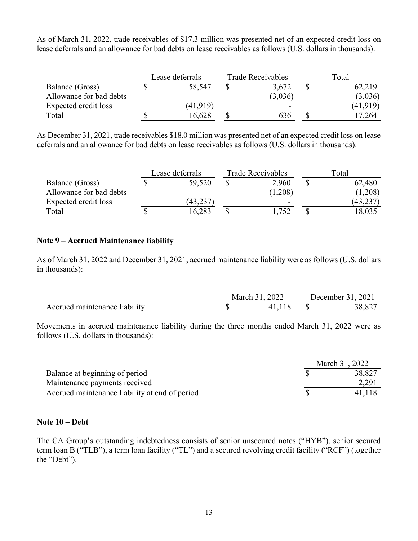As of March 31, 2022, trade receivables of \$17.3 million was presented net of an expected credit loss on lease deferrals and an allowance for bad debts on lease receivables as follows (U.S. dollars in thousands):

|                         | Lease deferrals | Trade Receivables | Total |          |  |
|-------------------------|-----------------|-------------------|-------|----------|--|
| Balance (Gross)         | 58,547          | 3,672             |       | 62,219   |  |
| Allowance for bad debts | -               | (3,036)           |       | (3,036)  |  |
| Expected credit loss    | (41.919)        | -                 |       | (41,919) |  |
| Total                   | 16,628          | 636               |       | 7,264    |  |

As December 31, 2021, trade receivables \$18.0 million was presented net of an expected credit loss on lease deferrals and an allowance for bad debts on lease receivables as follows (U.S. dollars in thousands):

|                         | Lease deferrals | <b>Trade Receivables</b> | Total |           |  |
|-------------------------|-----------------|--------------------------|-------|-----------|--|
| Balance (Gross)         | 59,520          | 2,960                    |       | 62,480    |  |
| Allowance for bad debts |                 | (1,208)                  |       | (1,208)   |  |
| Expected credit loss    | (43,237         | $\overline{\phantom{a}}$ |       | (43, 237) |  |
| Total                   | 16.283          | 752                      |       | 18,035    |  |

### **Note 9 – Accrued Maintenance liability**

As of March 31, 2022 and December 31, 2021, accrued maintenance liability were as follows (U.S. dollars in thousands):

|                               | March 31, 2022 | December 31, 2021 |        |  |
|-------------------------------|----------------|-------------------|--------|--|
| Accrued maintenance liability | 41,118         |                   | 38,827 |  |

Movements in accrued maintenance liability during the three months ended March 31, 2022 were as follows (U.S. dollars in thousands):

|                                                | March 31, 2022 |
|------------------------------------------------|----------------|
| Balance at beginning of period                 | 38,827         |
| Maintenance payments received                  | 2,291          |
| Accrued maintenance liability at end of period | 41,118         |

### **Note 10 – Debt**

The CA Group's outstanding indebtedness consists of senior unsecured notes ("HYB"), senior secured term loan B ("TLB"), a term loan facility ("TL") and a secured revolving credit facility ("RCF") (together the "Debt").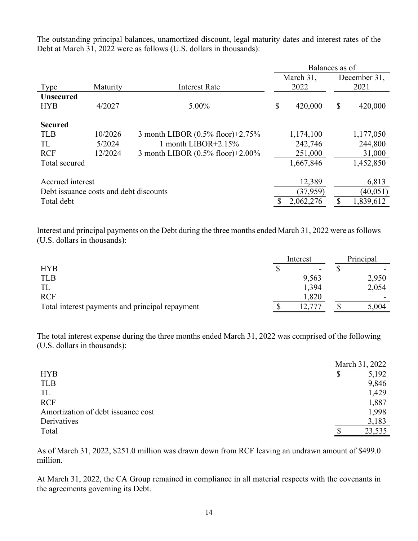The outstanding principal balances, unamortized discount, legal maturity dates and interest rates of the Debt at March 31, 2022 were as follows (U.S. dollars in thousands):

|                                        |          |                                  | Balances as of |           |    |              |
|----------------------------------------|----------|----------------------------------|----------------|-----------|----|--------------|
|                                        |          |                                  |                | March 31, |    | December 31, |
| Type                                   | Maturity | <b>Interest Rate</b>             |                | 2022      |    | 2021         |
| <b>Unsecured</b>                       |          |                                  |                |           |    |              |
| <b>HYB</b>                             | 4/2027   | 5.00%                            | $\mathbb{S}$   | 420,000   | \$ | 420,000      |
| <b>Secured</b>                         |          |                                  |                |           |    |              |
| <b>TLB</b>                             | 10/2026  | 3 month LIBOR (0.5% floor)+2.75% |                | 1,174,100 |    | 1,177,050    |
| TL                                     | 5/2024   | 1 month LIBOR $+2.15\%$          |                | 242,746   |    | 244,800      |
| <b>RCF</b>                             | 12/2024  | 3 month LIBOR (0.5% floor)+2.00% |                | 251,000   |    | 31,000       |
| Total secured                          |          |                                  |                | 1,667,846 |    | 1,452,850    |
| Accrued interest                       |          |                                  |                | 12,389    |    | 6,813        |
| Debt issuance costs and debt discounts |          |                                  |                | (37, 959) |    | (40, 051)    |
| Total debt                             |          |                                  |                | 2,062,276 | \$ | 1,839,612    |

Interest and principal payments on the Debt during the three months ended March 31, 2022 were as follows (U.S. dollars in thousands):

|                                                 | Interest |       | Principal |  |
|-------------------------------------------------|----------|-------|-----------|--|
| <b>HYB</b>                                      |          |       |           |  |
| <b>TLB</b>                                      |          | 9,563 | 2,950     |  |
| TL                                              |          | 1,394 | 2,054     |  |
| <b>RCF</b>                                      |          | 1,820 |           |  |
| Total interest payments and principal repayment |          |       | 5,004     |  |

The total interest expense during the three months ended March 31, 2022 was comprised of the following (U.S. dollars in thousands):

|                                    | March 31, 2022 |
|------------------------------------|----------------|
| <b>HYB</b>                         | \$<br>5,192    |
| <b>TLB</b>                         | 9,846          |
| TL                                 | 1,429          |
| <b>RCF</b>                         | 1,887          |
| Amortization of debt issuance cost | 1,998          |
| Derivatives                        | 3,183          |
| Total                              | 23,535         |

As of March 31, 2022, \$251.0 million was drawn down from RCF leaving an undrawn amount of \$499.0 million.

At March 31, 2022, the CA Group remained in compliance in all material respects with the covenants in the agreements governing its Debt.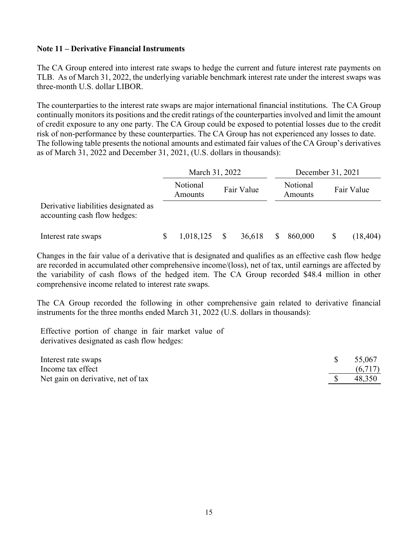### **Note 11 – Derivative Financial Instruments**

The CA Group entered into interest rate swaps to hedge the current and future interest rate payments on TLB. As of March 31, 2022, the underlying variable benchmark interest rate under the interest swaps was three-month U.S. dollar LIBOR.

The counterparties to the interest rate swaps are major international financial institutions. The CA Group continually monitors its positions and the credit ratings of the counterparties involved and limit the amount of credit exposure to any one party. The CA Group could be exposed to potential losses due to the credit risk of non-performance by these counterparties. The CA Group has not experienced any losses to date. The following table presents the notional amounts and estimated fair values of the CA Group's derivatives as of March 31, 2022 and December 31, 2021, (U.S. dollars in thousands):

|                                                                      | March 31, 2022 |                     |  | December 31, 2021 |    |                     |    |            |
|----------------------------------------------------------------------|----------------|---------------------|--|-------------------|----|---------------------|----|------------|
|                                                                      |                | Notional<br>Amounts |  | Fair Value        |    | Notional<br>Amounts |    | Fair Value |
| Derivative liabilities designated as<br>accounting cash flow hedges: |                |                     |  |                   |    |                     |    |            |
| Interest rate swaps                                                  |                | 1,018,125           |  | 36,618            | S. | 860,000             | \$ | (18, 404)  |

Changes in the fair value of a derivative that is designated and qualifies as an effective cash flow hedge are recorded in accumulated other comprehensive income/(loss), net of tax, until earnings are affected by the variability of cash flows of the hedged item. The CA Group recorded \$48.4 million in other comprehensive income related to interest rate swaps.

The CA Group recorded the following in other comprehensive gain related to derivative financial instruments for the three months ended March 31, 2022 (U.S. dollars in thousands):

Effective portion of change in fair market value of derivatives designated as cash flow hedges:

| Interest rate swaps                | 55,067  |
|------------------------------------|---------|
| Income tax effect                  | (6,717) |
| Net gain on derivative, net of tax | 48,350  |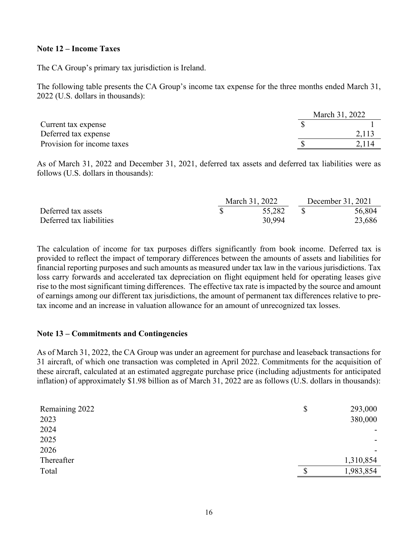#### **Note 12 – Income Taxes**

The CA Group's primary tax jurisdiction is Ireland.

The following table presents the CA Group's income tax expense for the three months ended March 31, 2022 (U.S. dollars in thousands):

|                            | March 31, 2022 |
|----------------------------|----------------|
| Current tax expense        |                |
| Deferred tax expense       |                |
| Provision for income taxes |                |

As of March 31, 2022 and December 31, 2021, deferred tax assets and deferred tax liabilities were as follows (U.S. dollars in thousands):

|                          | March 31, 2022 | December 31, 2021 |  |        |
|--------------------------|----------------|-------------------|--|--------|
| Deferred tax assets      |                | 55,282            |  | 56,804 |
| Deferred tax liabilities |                | 30.994            |  | 23,686 |

The calculation of income for tax purposes differs significantly from book income. Deferred tax is provided to reflect the impact of temporary differences between the amounts of assets and liabilities for financial reporting purposes and such amounts as measured under tax law in the various jurisdictions. Tax loss carry forwards and accelerated tax depreciation on flight equipment held for operating leases give rise to the most significant timing differences. The effective tax rate is impacted by the source and amount of earnings among our different tax jurisdictions, the amount of permanent tax differences relative to pretax income and an increase in valuation allowance for an amount of unrecognized tax losses.

#### **Note 13 – Commitments and Contingencies**

As of March 31, 2022, the CA Group was under an agreement for purchase and leaseback transactions for 31 aircraft, of which one transaction was completed in April 2022. Commitments for the acquisition of these aircraft, calculated at an estimated aggregate purchase price (including adjustments for anticipated inflation) of approximately \$1.98 billion as of March 31, 2022 are as follows (U.S. dollars in thousands):

| Remaining 2022 | \$<br>293,000   |
|----------------|-----------------|
| 2023           | 380,000         |
| 2024           |                 |
| 2025           | ۰.              |
| 2026           |                 |
| Thereafter     | 1,310,854       |
| Total          | \$<br>1,983,854 |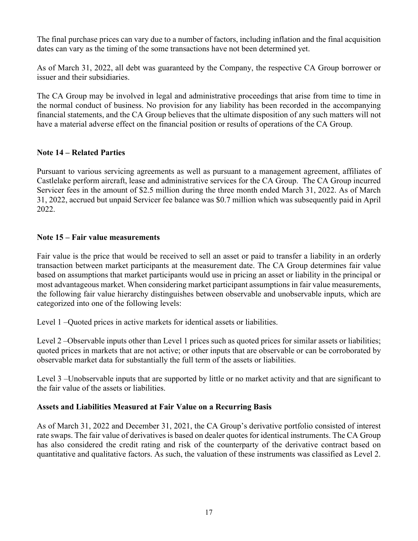The final purchase prices can vary due to a number of factors, including inflation and the final acquisition dates can vary as the timing of the some transactions have not been determined yet.

As of March 31, 2022, all debt was guaranteed by the Company, the respective CA Group borrower or issuer and their subsidiaries.

The CA Group may be involved in legal and administrative proceedings that arise from time to time in the normal conduct of business. No provision for any liability has been recorded in the accompanying financial statements, and the CA Group believes that the ultimate disposition of any such matters will not have a material adverse effect on the financial position or results of operations of the CA Group.

### **Note 14 – Related Parties**

Pursuant to various servicing agreements as well as pursuant to a management agreement, affiliates of Castlelake perform aircraft, lease and administrative services for the CA Group. The CA Group incurred Servicer fees in the amount of \$2.5 million during the three month ended March 31, 2022. As of March 31, 2022, accrued but unpaid Servicer fee balance was \$0.7 million which was subsequently paid in April 2022.

### **Note 15 – Fair value measurements**

Fair value is the price that would be received to sell an asset or paid to transfer a liability in an orderly transaction between market participants at the measurement date. The CA Group determines fair value based on assumptions that market participants would use in pricing an asset or liability in the principal or most advantageous market. When considering market participant assumptions in fair value measurements, the following fair value hierarchy distinguishes between observable and unobservable inputs, which are categorized into one of the following levels:

Level 1 –Quoted prices in active markets for identical assets or liabilities.

Level 2 –Observable inputs other than Level 1 prices such as quoted prices for similar assets or liabilities; quoted prices in markets that are not active; or other inputs that are observable or can be corroborated by observable market data for substantially the full term of the assets or liabilities.

Level 3 –Unobservable inputs that are supported by little or no market activity and that are significant to the fair value of the assets or liabilities.

### **Assets and Liabilities Measured at Fair Value on a Recurring Basis**

As of March 31, 2022 and December 31, 2021, the CA Group's derivative portfolio consisted of interest rate swaps. The fair value of derivatives is based on dealer quotes for identical instruments. The CA Group has also considered the credit rating and risk of the counterparty of the derivative contract based on quantitative and qualitative factors. As such, the valuation of these instruments was classified as Level 2.